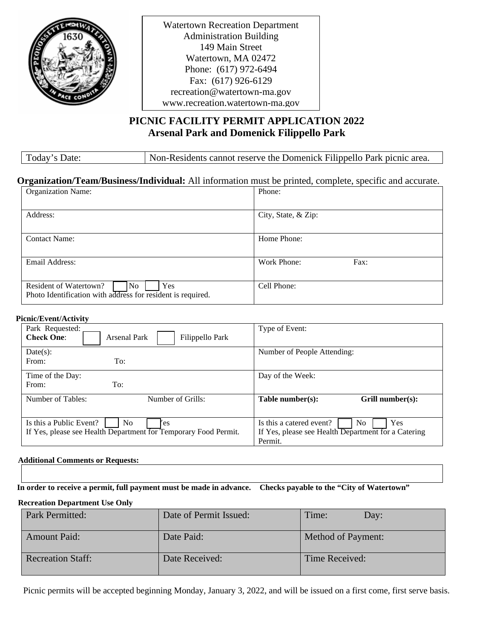

Watertown Recreation Department Administration Building 149 Main Street Watertown, MA 02472 Phone: (617) 972-6494 Fax: (617) 926-6129 recreation@watertown-ma.gov www.recreation.watertown-ma.gov

## **PICNIC FACILITY PERMIT APPLICATION 2022 Arsenal Park and Domenick Filippello Park**

Today's Date: Non-Residents cannot reserve the Domenick Filippello Park picnic area.

## **Organization/Team/Business/Individual:** All information must be printed, complete, specific and accurate.

| <b>Organization Name:</b>                                                                          | Phone:              |
|----------------------------------------------------------------------------------------------------|---------------------|
| Address:                                                                                           | City, State, & Zip: |
| <b>Contact Name:</b>                                                                               | Home Phone:         |
| Email Address:                                                                                     | Work Phone:<br>Fax: |
| No<br>Yes<br>Resident of Watertown?<br>Photo Identification with address for resident is required. | Cell Phone:         |

#### **Picnic/Event/Activity**

| Park Requested:<br><b>Check One:</b><br><b>Arsenal Park</b><br>Filippello Park                                      | Type of Event:                                                                                           |
|---------------------------------------------------------------------------------------------------------------------|----------------------------------------------------------------------------------------------------------|
| Date(s):<br>To:<br>From:                                                                                            | Number of People Attending:                                                                              |
| Time of the Day:<br>To:<br>From:                                                                                    | Day of the Week:                                                                                         |
| Number of Tables:<br>Number of Grills:                                                                              | Table number(s):<br>Grill number(s):                                                                     |
| Is this a Public Event?<br>N <sub>0</sub><br>'es<br>If Yes, please see Health Department for Temporary Food Permit. | Is this a catered event?<br>No.<br>Yes<br>If Yes, please see Health Department for a Catering<br>Permit. |

#### **Additional Comments or Requests:**

**In order to receive a permit, full payment must be made in advance. Checks payable to the "City of Watertown"**

#### **Recreation Department Use Only**

| Park Permitted:          | Date of Permit Issued: | Time:<br>Dav:             |
|--------------------------|------------------------|---------------------------|
| <b>Amount Paid:</b>      | Date Paid:             | <b>Method of Payment:</b> |
| <b>Recreation Staff:</b> | Date Received:         | Time Received:            |

Picnic permits will be accepted beginning Monday, January 3, 2022, and will be issued on a first come, first serve basis.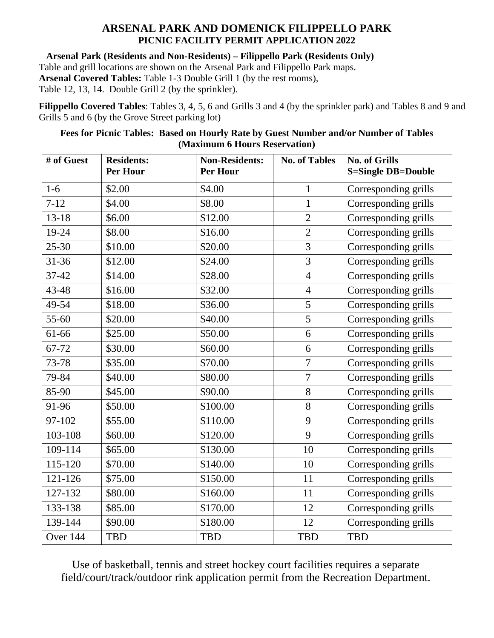# **ARSENAL PARK AND DOMENICK FILIPPELLO PARK PICNIC FACILITY PERMIT APPLICATION 2022**

**Arsenal Park (Residents and Non-Residents) – Filippello Park (Residents Only)**

Table and grill locations are shown on the Arsenal Park and Filippello Park maps. **Arsenal Covered Tables:** Table 1-3 Double Grill 1 (by the rest rooms),

Table 12, 13, 14. Double Grill 2 (by the sprinkler).

**Filippello Covered Tables**: Tables 3, 4, 5, 6 and Grills 3 and 4 (by the sprinkler park) and Tables 8 and 9 and Grills 5 and 6 (by the Grove Street parking lot)

## **Fees for Picnic Tables: Based on Hourly Rate by Guest Number and/or Number of Tables (Maximum 6 Hours Reservation)**

| # of Guest | <b>Residents:</b><br>Per Hour | <b>Non-Residents:</b><br><b>Per Hour</b> | <b>No. of Tables</b> | <b>No. of Grills</b><br><b>S=Single DB=Double</b> |
|------------|-------------------------------|------------------------------------------|----------------------|---------------------------------------------------|
| $1-6$      | \$2.00                        | \$4.00                                   | $\mathbf{1}$         | Corresponding grills                              |
| $7 - 12$   | \$4.00                        | \$8.00                                   | $\mathbf{1}$         | Corresponding grills                              |
| $13 - 18$  | \$6.00                        | \$12.00                                  | $\overline{2}$       | Corresponding grills                              |
| 19-24      | \$8.00                        | \$16.00                                  | $\overline{2}$       | Corresponding grills                              |
| $25 - 30$  | \$10.00                       | \$20.00                                  | 3                    | Corresponding grills                              |
| $31 - 36$  | \$12.00                       | \$24.00                                  | $\overline{3}$       | Corresponding grills                              |
| $37 - 42$  | \$14.00                       | \$28.00                                  | $\overline{4}$       | Corresponding grills                              |
| 43-48      | \$16.00                       | \$32.00                                  | $\overline{4}$       | Corresponding grills                              |
| 49-54      | \$18.00                       | \$36.00                                  | 5                    | Corresponding grills                              |
| 55-60      | \$20.00                       | \$40.00                                  | 5                    | Corresponding grills                              |
| 61-66      | \$25.00                       | \$50.00                                  | 6                    | Corresponding grills                              |
| 67-72      | \$30.00                       | \$60.00                                  | 6                    | Corresponding grills                              |
| 73-78      | \$35.00                       | \$70.00                                  | $\overline{7}$       | Corresponding grills                              |
| 79-84      | \$40.00                       | \$80.00                                  | $\overline{7}$       | Corresponding grills                              |
| 85-90      | \$45.00                       | \$90.00                                  | 8                    | Corresponding grills                              |
| 91-96      | \$50.00                       | \$100.00                                 | 8                    | Corresponding grills                              |
| 97-102     | \$55.00                       | \$110.00                                 | 9                    | Corresponding grills                              |
| 103-108    | \$60.00                       | \$120.00                                 | 9                    | Corresponding grills                              |
| 109-114    | \$65.00                       | \$130.00                                 | 10                   | Corresponding grills                              |
| 115-120    | \$70.00                       | \$140.00                                 | 10                   | Corresponding grills                              |
| 121-126    | \$75.00                       | \$150.00                                 | 11                   | Corresponding grills                              |
| 127-132    | \$80.00                       | \$160.00                                 | 11                   | Corresponding grills                              |
| 133-138    | \$85.00                       | \$170.00                                 | 12                   | Corresponding grills                              |
| 139-144    | \$90.00                       | \$180.00                                 | 12                   | Corresponding grills                              |
| Over 144   | <b>TBD</b>                    | <b>TBD</b>                               | <b>TBD</b>           | <b>TBD</b>                                        |

Use of basketball, tennis and street hockey court facilities requires a separate field/court/track/outdoor rink application permit from the Recreation Department.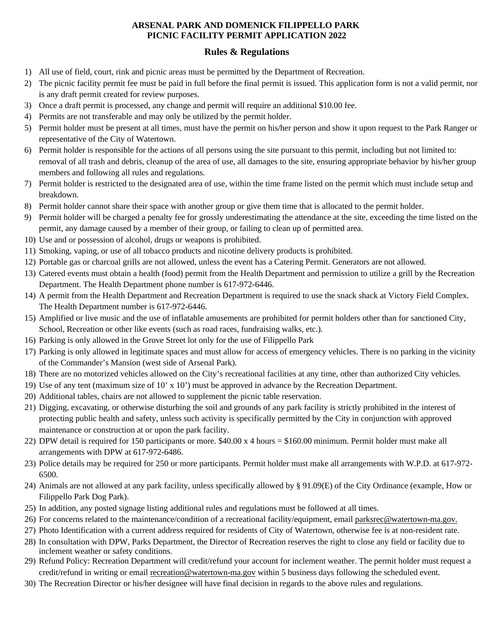## **ARSENAL PARK AND DOMENICK FILIPPELLO PARK PICNIC FACILITY PERMIT APPLICATION 2022**

### **Rules & Regulations**

- 1) All use of field, court, rink and picnic areas must be permitted by the Department of Recreation.
- 2) The picnic facility permit fee must be paid in full before the final permit is issued. This application form is not a valid permit, nor is any draft permit created for review purposes.
- 3) Once a draft permit is processed, any change and permit will require an additional \$10.00 fee.
- 4) Permits are not transferable and may only be utilized by the permit holder.
- 5) Permit holder must be present at all times, must have the permit on his/her person and show it upon request to the Park Ranger or representative of the City of Watertown.
- 6) Permit holder is responsible for the actions of all persons using the site pursuant to this permit, including but not limited to: removal of all trash and debris, cleanup of the area of use, all damages to the site, ensuring appropriate behavior by his/her group members and following all rules and regulations.
- 7) Permit holder is restricted to the designated area of use, within the time frame listed on the permit which must include setup and breakdown.
- 8) Permit holder cannot share their space with another group or give them time that is allocated to the permit holder.
- 9) Permit holder will be charged a penalty fee for grossly underestimating the attendance at the site, exceeding the time listed on the permit, any damage caused by a member of their group, or failing to clean up of permitted area.
- 10) Use and or possession of alcohol, drugs or weapons is prohibited.
- 11) Smoking, vaping, or use of all tobacco products and nicotine delivery products is prohibited.
- 12) Portable gas or charcoal grills are not allowed, unless the event has a Catering Permit. Generators are not allowed.
- 13) Catered events must obtain a health (food) permit from the Health Department and permission to utilize a grill by the Recreation Department. The Health Department phone number is 617-972-6446.
- 14) A permit from the Health Department and Recreation Department is required to use the snack shack at Victory Field Complex. The Health Department number is 617-972-6446.
- 15) Amplified or live music and the use of inflatable amusements are prohibited for permit holders other than for sanctioned City, School, Recreation or other like events (such as road races, fundraising walks, etc.).
- 16) Parking is only allowed in the Grove Street lot only for the use of Filippello Park
- 17) Parking is only allowed in legitimate spaces and must allow for access of emergency vehicles. There is no parking in the vicinity of the Commander's Mansion (west side of Arsenal Park).
- 18) There are no motorized vehicles allowed on the City's recreational facilities at any time, other than authorized City vehicles.
- 19) Use of any tent (maximum size of 10' x 10') must be approved in advance by the Recreation Department.
- 20) Additional tables, chairs are not allowed to supplement the picnic table reservation.
- 21) Digging, excavating, or otherwise disturbing the soil and grounds of any park facility is strictly prohibited in the interest of protecting public health and safety, unless such activity is specifically permitted by the City in conjunction with approved maintenance or construction at or upon the park facility.
- 22) DPW detail is required for 150 participants or more. \$40.00 x 4 hours = \$160.00 minimum. Permit holder must make all arrangements with DPW at 617-972-6486.
- 23) Police details may be required for 250 or more participants. Permit holder must make all arrangements with W.P.D. at 617-972- 6500.
- 24) Animals are not allowed at any park facility, unless specifically allowed by § 91.09(E) of the City Ordinance (example, How or Filippello Park Dog Park).
- 25) In addition, any posted signage listing additional rules and regulations must be followed at all times.
- 26) For concerns related to the maintenance/condition of a recreational facility/equipment, email [parksrec@watertown-ma.gov.](mailto:parksrec@watertown-ma.gov)
- 27) Photo Identification with a current address required for residents of City of Watertown, otherwise fee is at non-resident rate.
- 28) In consultation with DPW, Parks Department, the Director of Recreation reserves the right to close any field or facility due to inclement weather or safety conditions.
- 29) Refund Policy: Recreation Department will credit/refund your account for inclement weather. The permit holder must request a credit/refund in writing or email [recreation@watertown-ma.gov](mailto:recreation@watertown-ma.gov) within 5 business days following the scheduled event.
- 30) The Recreation Director or his/her designee will have final decision in regards to the above rules and regulations.